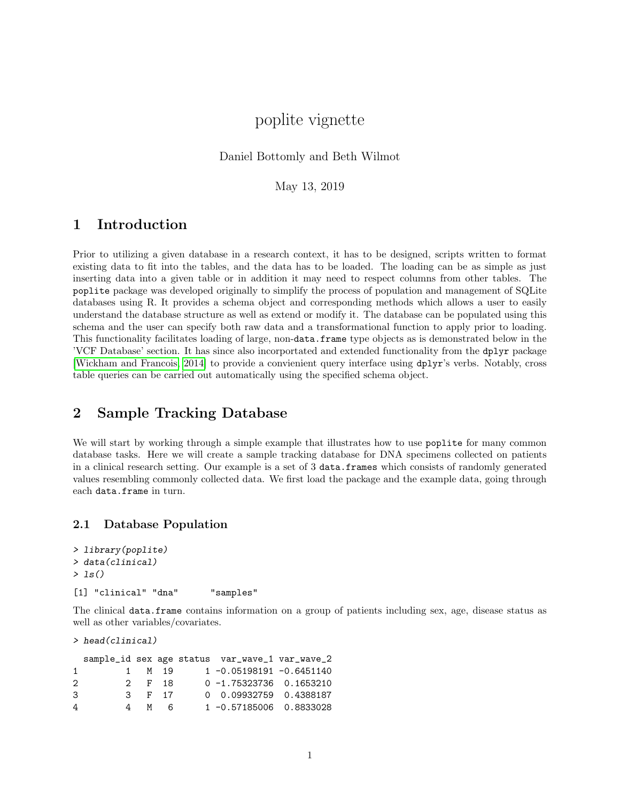# poplite vignette

Daniel Bottomly and Beth Wilmot

May 13, 2019

## 1 Introduction

Prior to utilizing a given database in a research context, it has to be designed, scripts written to format existing data to fit into the tables, and the data has to be loaded. The loading can be as simple as just inserting data into a given table or in addition it may need to respect columns from other tables. The poplite package was developed originally to simplify the process of population and management of SQLite databases using R. It provides a schema object and corresponding methods which allows a user to easily understand the database structure as well as extend or modify it. The database can be populated using this schema and the user can specify both raw data and a transformational function to apply prior to loading. This functionality facilitates loading of large, non-data.frame type objects as is demonstrated below in the 'VCF Database' section. It has since also incorportated and extended functionality from the dplyr package [\[Wickham and Francois, 2014\]](#page-9-0) to provide a convienient query interface using dplyr's verbs. Notably, cross table queries can be carried out automatically using the specified schema object.

## 2 Sample Tracking Database

We will start by working through a simple example that illustrates how to use **poplite** for many common database tasks. Here we will create a sample tracking database for DNA specimens collected on patients in a clinical research setting. Our example is a set of 3 data.frames which consists of randomly generated values resembling commonly collected data. We first load the package and the example data, going through each data.frame in turn.

### 2.1 Database Population

```
> library(poplite)
> data(clinical)
> ls()
[1] "clinical" "dna" "samples"
```
The clinical data.frame contains information on a group of patients including sex, age, disease status as well as other variables/covariates.

```
> head(clinical)
```

|                             |   |        |       | sample_id sex age status var_wave_1 var_wave_2 |  |
|-----------------------------|---|--------|-------|------------------------------------------------|--|
| 1.                          |   | 1 M 19 |       | $1 - 0.05198191 - 0.6451140$                   |  |
| $\mathcal{D}_{\mathcal{L}}$ |   | 2 F 18 |       | $0 - 1.75323736$ 0.1653210                     |  |
| 3                           |   | 3 F 17 |       | 0 0.09932759 0.4388187                         |  |
| 4                           | 4 |        | $M$ 6 | 1 -0.57185006 0.8833028                        |  |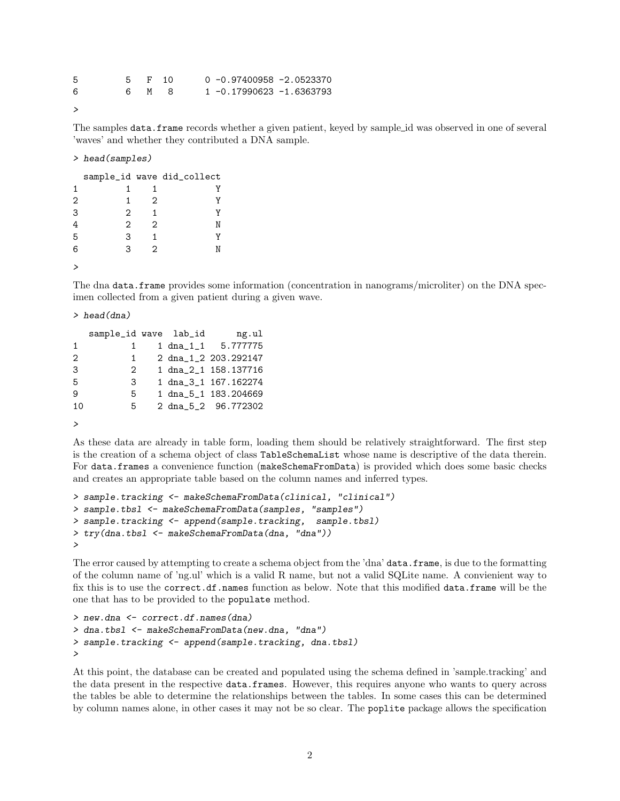| 5 |  | 5 F 10 | 0 -0.97400958 -2.0523370 |
|---|--|--------|--------------------------|
| 6 |  | 6 M 8  | 1 -0.17990623 -1.6363793 |
|   |  |        |                          |

```
>
```
The samples data.frame records whether a given patient, keyed by sample id was observed in one of several 'waves' and whether they contributed a DNA sample.

#### > head(samples)

|   |   |   | sample_id wave did_collect |
|---|---|---|----------------------------|
| 1 |   |   |                            |
| 2 |   | 2 |                            |
| 3 | 2 |   |                            |
|   | 2 | 2 |                            |
| 5 | З | 1 |                            |
| 6 | 3 | 2 |                            |
|   |   |   |                            |

The dna data.frame provides some information (concentration in nanograms/microliter) on the DNA specimen collected from a given patient during a given wave.

> head(dna)

|               | sample_id wave lab_id |  | ng.ul                       |
|---------------|-----------------------|--|-----------------------------|
| 1             |                       |  | $1 \text{ dna}_11$ 5.777775 |
| $\mathcal{L}$ | 1                     |  | 2 dna_1_2 203.292147        |
| 3             | 2                     |  | 1 dna_2_1 158.137716        |
| 5             | 3                     |  | 1 dna_3_1 167.162274        |
| q             | 5                     |  | 1 dna_5_1 183.204669        |
| 10            | 5                     |  | 2 dna_5_2 96.772302         |
|               |                       |  |                             |

>

As these data are already in table form, loading them should be relatively straightforward. The first step is the creation of a schema object of class TableSchemaList whose name is descriptive of the data therein. For data.frames a convenience function (makeSchemaFromData) is provided which does some basic checks and creates an appropriate table based on the column names and inferred types.

```
> sample.tracking <- makeSchemaFromData(clinical, "clinical")
> sample.tbsl <- makeSchemaFromData(samples, "samples")
> sample.tracking <- append(sample.tracking, sample.tbsl)
> try(dna.tbsl <- makeSchemaFromData(dna, "dna"))
>
```
The error caused by attempting to create a schema object from the 'dna' data.frame, is due to the formatting of the column name of 'ng.ul' which is a valid R name, but not a valid SQLite name. A convienient way to fix this is to use the correct.df.names function as below. Note that this modified data.frame will be the one that has to be provided to the populate method.

```
> new.dna <- correct.df.names(dna)
> dna.tbsl <- makeSchemaFromData(new.dna, "dna")
> sample.tracking <- append(sample.tracking, dna.tbsl)
>
```
At this point, the database can be created and populated using the schema defined in 'sample.tracking' and the data present in the respective data.frames. However, this requires anyone who wants to query across the tables be able to determine the relationships between the tables. In some cases this can be determined by column names alone, in other cases it may not be so clear. The poplite package allows the specification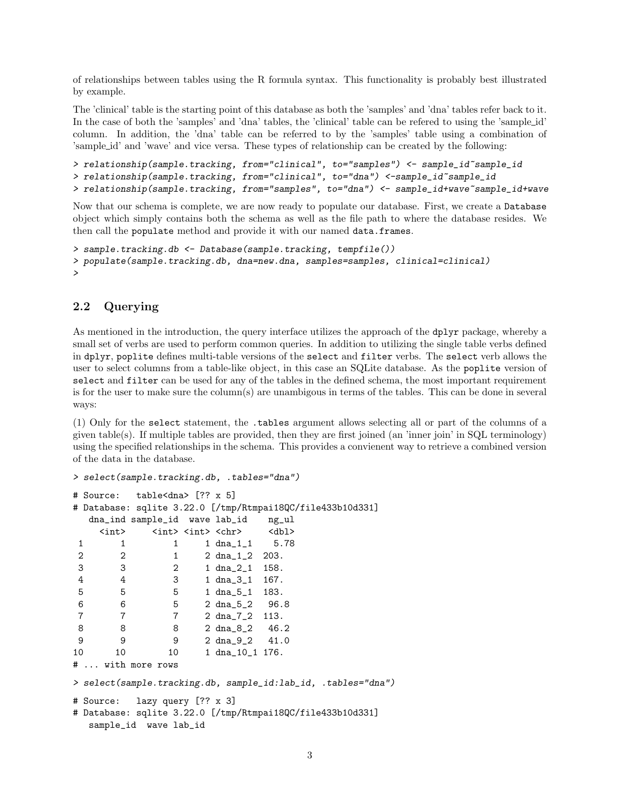of relationships between tables using the R formula syntax. This functionality is probably best illustrated by example.

The 'clinical' table is the starting point of this database as both the 'samples' and 'dna' tables refer back to it. In the case of both the 'samples' and 'dna' tables, the 'clinical' table can be refered to using the 'sample id' column. In addition, the 'dna' table can be referred to by the 'samples' table using a combination of 'sample id' and 'wave' and vice versa. These types of relationship can be created by the following:

```
> relationship(sample.tracking, from="clinical", to="samples") <- sample_id~sample_id
> relationship(sample.tracking, from="clinical", to="dna") <-sample_id~sample_id
> relationship(sample.tracking, from="samples", to="dna") <- sample_id+wave~sample_id+wave
```
Now that our schema is complete, we are now ready to populate our database. First, we create a Database object which simply contains both the schema as well as the file path to where the database resides. We then call the populate method and provide it with our named data.frames.

```
> sample.tracking.db <- Database(sample.tracking, tempfile())
> populate(sample.tracking.db, dna=new.dna, samples=samples, clinical=clinical)
>
```
### 2.2 Querying

As mentioned in the introduction, the query interface utilizes the approach of the dplyr package, whereby a small set of verbs are used to perform common queries. In addition to utilizing the single table verbs defined in dplyr, poplite defines multi-table versions of the select and filter verbs. The select verb allows the user to select columns from a table-like object, in this case an SQLite database. As the poplite version of select and filter can be used for any of the tables in the defined schema, the most important requirement is for the user to make sure the column(s) are unambigous in terms of the tables. This can be done in several ways:

(1) Only for the select statement, the .tables argument allows selecting all or part of the columns of a given table(s). If multiple tables are provided, then they are first joined (an 'inner join' in SQL terminology) using the specified relationships in the schema. This provides a convienent way to retrieve a combined version of the data in the database.

```
> select(sample.tracking.db, .tables="dna")
# Source: table<dna> [?? x 5]
# Database: sqlite 3.22.0 [/tmp/Rtmpai18QC/file433b10d331]
  dna_ind sample_id wave lab_id ng_ul
   <int> <int> <int> <chr> <dbl>
1 1 1 1 dna_1_1 5.78
2 2 1 2 dna_1_2 203.
3 3 2 1 dna_2_1 158.
4 4 3 1 dna_3_1 167.
5 5 5 1 dna_5_1 183.
6 6 5 2 dna_5_2 96.8
7 7 7 2 dna_7_2 113.
8 8 8 2 dna_8_2 46.2
9 9 9 2 dna_9_2 41.0
10 10 1 dna_10_1 176.
# ... with more rows
> select(sample.tracking.db, sample_id:lab_id, .tables="dna")
# Source: lazy query [?? x 3]
# Database: sqlite 3.22.0 [/tmp/Rtmpai18QC/file433b10d331]
  sample_id wave lab_id
```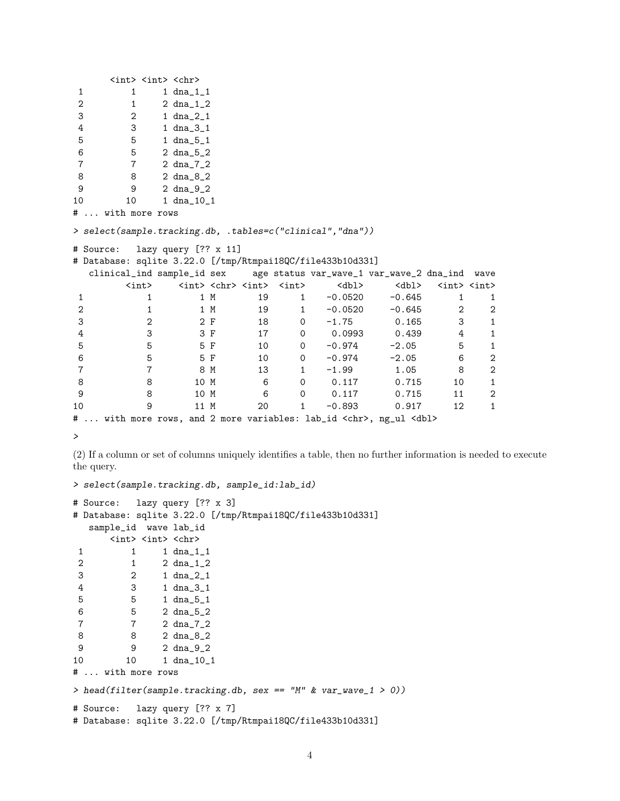```
<int> <int> <chr>
1 1 dna_1_1
2 1 2 dna_1_2
3 2 1 dna_2_1
4 3 1 dna_3_1
5 5 1 dna_5_1
6 5 2 dna_5_2
7 7 2 dna_7_2
8 8 2 dna_8_2
9 9 2 dna_9_2
10 10 1 dna_10_1
# ... with more rows
> select(sample.tracking.db, .tables=c("clinical","dna"))
# Source: lazy query [?? x 11]
# Database: sqlite 3.22.0 [/tmp/Rtmpai18QC/file433b10d331]
 clinical_ind sample_id sex age status var_wave_1 var_wave_2 dna_ind wave
     <int> <int> <chr> <int> <int> <int> <dbl> <dbl> <int> <int>
1 1 1 M 19 1 -0.0520 -0.645 1 1
2 1 1 M 19 1 -0.0520 -0.645 2 2
3 2 2 F 18 0 -1.75 0.165 3 1
4 3 3 F 17 0 0.0993 0.439 4 1
5 5 5 F 10 0 -0.974 -2.05 5 1
6 5 5 F 10 0 -0.974 -2.05 6 2
7 7 8 M 13 1 -1.99 1.05 8 2
8 8 10 M 6 0 0.117 0.715 10 1
9 8 10 M 6 0 0.117 0.715 11 2
10 9 11 M 20 1 -0.893 0.917 12 1
# ... with more rows, and 2 more variables: lab_id <chr>, ng_ul <dbl>
```
>

(2) If a column or set of columns uniquely identifies a table, then no further information is needed to execute the query.

```
> select(sample.tracking.db, sample_id:lab_id)
# Source: lazy query [?? x 3]
# Database: sqlite 3.22.0 [/tmp/Rtmpai18QC/file433b10d331]
  sample_id wave lab_id
      <int> <int> <chr>
1 1 1 dna_1_1
2 1 2 dna_1_2
3 2 1 dna_2_1
4 3 1 dna_3_1
5 5 1 dna_5_1
6 5 2 dna_5_2
7 7 2 dna_7_2
8 8 2 dna_8_2<br>9 9 2 dna 9 2
         9 9 2 dna_9_2
10 10 1 dna_10_1
# ... with more rows
> head(filter(sample.tracking.db, sex == "M" & var\_wave_1 > 0))
# Source: lazy query [?? x 7]
# Database: sqlite 3.22.0 [/tmp/Rtmpai18QC/file433b10d331]
```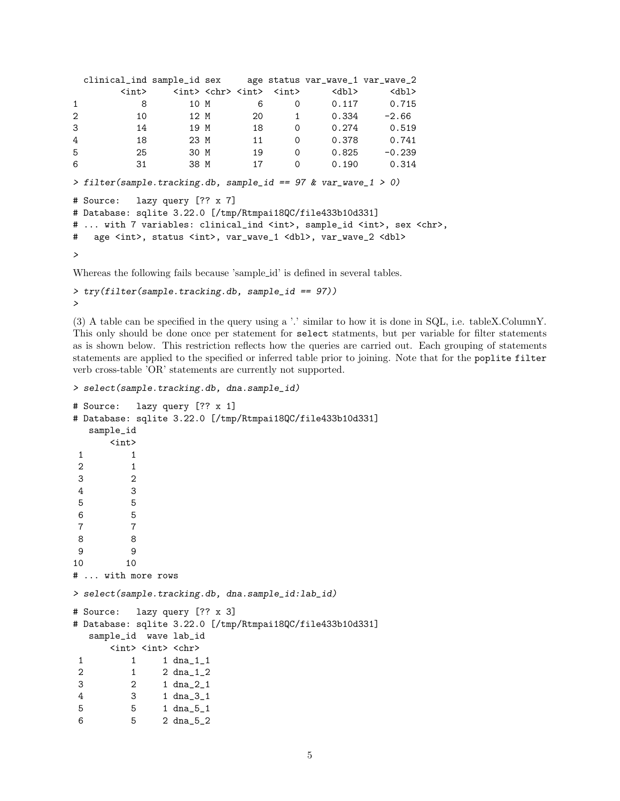```
clinical_ind sample_id sex age status var_wave_1 var_wave_2
       \langle \text{int} \rangle \langle \text{int} \rangle \langle \text{chr} \rangle \langle \text{int} \rangle \langle \text{dbl} \rangle \langle \text{dbl} \rangle1 8 10 M 6 0 0.117 0.715
2 10 12 M 20 1 0.334 -2.66
3 14 19 M 18 0 0.274 0.519
4 18 23 M 11 0 0.378 0.741
5 25 30 M 19 0 0.825 -0.239
6 31 38 M 17 0 0.190 0.314
> filter(sample.tracking.db, sample_id == 97 & var_wave_1 > 0)
# Source: lazy query [?? x 7]
# Database: sqlite 3.22.0 [/tmp/Rtmpai18QC/file433b10d331]
# ... with 7 variables: clinical_ind <int>, sample_id <int>, sex <chr>,
# age <int>, status <int>, var_wave_1 <dbl>, var_wave_2 <dbl>
>
```
Whereas the following fails because 'sample\_id' is defined in several tables.

```
> try(filter(sample.tracking.db, sample_id == 97))
>
```
(3) A table can be specified in the query using a '.' similar to how it is done in SQL, i.e. tableX.ColumnY. This only should be done once per statement for select statments, but per variable for filter statements as is shown below. This restriction reflects how the queries are carried out. Each grouping of statements statements are applied to the specified or inferred table prior to joining. Note that for the poplite filter verb cross-table 'OR' statements are currently not supported.

```
> select(sample.tracking.db, dna.sample_id)
# Source: lazy query [?? x 1]
# Database: sqlite 3.22.0 [/tmp/Rtmpai18QC/file433b10d331]
  sample_id
     <int>
 1 1
 2 1
 3 2
 4 3
 5 5
 6 5
7 7
8 8
 9 9
10 10
# ... with more rows
> select(sample.tracking.db, dna.sample_id:lab_id)
# Source: lazy query [?? x 3]
# Database: sqlite 3.22.0 [/tmp/Rtmpai18QC/file433b10d331]
  sample_id wave lab_id
     <int> <int> <chr>
1 1 1 dna_1_1
2 1 2 dna_1_2
3 2 1 dna_2_1
4 3 1 dna_3_1
5 5 1 dna_5_1
6 5 2 dna_5_2
```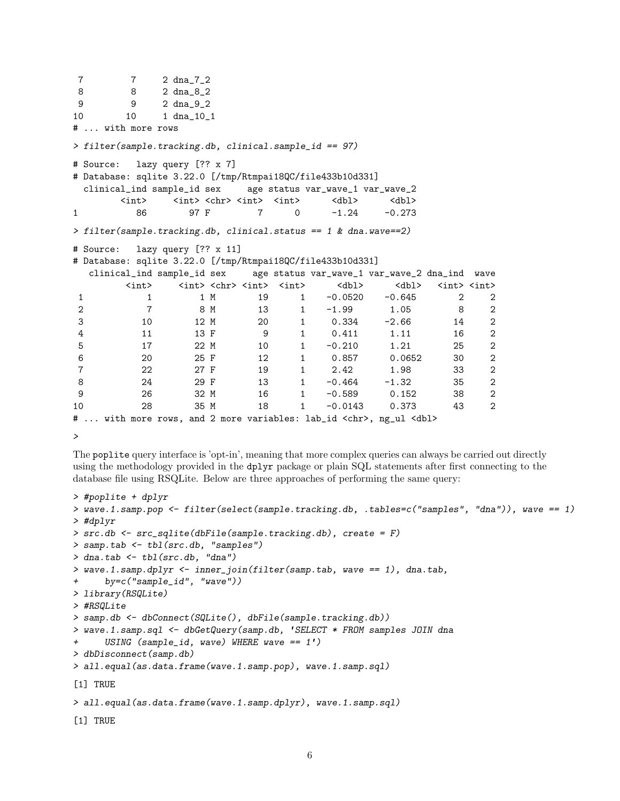```
7 7 2 dna_7_2
8 8 2 dna_8_2
9 9 2 dna_9_2
10 10 1 dna_10_1
# ... with more rows
> filter(sample.tracking.db, clinical.sample_id == 97)
# Source: lazy query [?? x 7]
# Database: sqlite 3.22.0 [/tmp/Rtmpai18QC/file433b10d331]
 clinical_ind sample_id sex age status var_wave_1 var_wave_2
      \langle \text{int} \rangle \langle \text{int} \rangle \langle \text{chr} \rangle \langle \text{int} \rangle \langle \text{dbl} \rangle \langle \text{dbl} \rangle1 86 97 F 7 0 -1.24 -0.273
> filter(sample.tracking.db, clinical.status == 1 & dna.wave==2)
# Source: lazy query [?? x 11]
# Database: sqlite 3.22.0 [/tmp/Rtmpai18QC/file433b10d331]
  clinical_ind sample_id sex age status var_wave_1 var_wave_2 dna_ind wave
       <int> <int> <chr> <int> <int> <int> <dbl> <int> <int>
1 1 1 M 19 1 -0.0520 -0.645 2 2
2 7 8 M 13 1 -1.99 1.05 8 2
3 10 12 M 20 1 0.334 -2.66 14 2
4 11 13 F 9 1 0.411 1.11 16 2
5 17 22 M 10 1 -0.210 1.21 25 2
6 20 25 F 12 1 0.857 0.0652 30 2
7 22 27 F 19 1 2.42 1.98 33 2
8 24 29 F 13 1 -0.464 -1.32 35 2
9 26 32 M 16 1 -0.589 0.152 38 2
10 28 35 M 18 1 -0.0143 0.373 43 2
# ... with more rows, and 2 more variables: lab_id <chr>, ng_ul <dbl>
```
>

The poplite query interface is 'opt-in', meaning that more complex queries can always be carried out directly using the methodology provided in the dplyr package or plain SQL statements after first connecting to the database file using RSQLite. Below are three approaches of performing the same query:

```
> #poplite + dplyr
> wave.1.samp.pop <- filter(select(sample.tracking.db, .tables=c("samples", "dna")), wave == 1)
> #dplyr
> src.db <- src_sqlite(dbFile(sample.tracking.db), create = F)
> samp.tab <- tbl(src.db, "samples")
> dna.tab \le tbl(src.db, "dna")
> wave.1.samp.dplyr <- inner_join(filter(samp.tab, wave == 1), dna.tab,
+ by=c("sample_id", "wave"))
> library(RSQLite)
> #RSQLite
> samp.db <- dbConnect(SQLite(), dbFile(sample.tracking.db))
> wave.1.samp.sql <- dbGetQuery(samp.db, 'SELECT * FROM samples JOIN dna
+ USING (sample_id, wave) WHERE wave == 1')
> dbDisconnect(samp.db)
> all.equal(as.data.frame(wave.1.samp.pop), wave.1.samp.sql)
[1] TRUE
> all.equal(as.data.frame(wave.1.samp.dplyr), wave.1.samp.sql)
[1] TRUE
```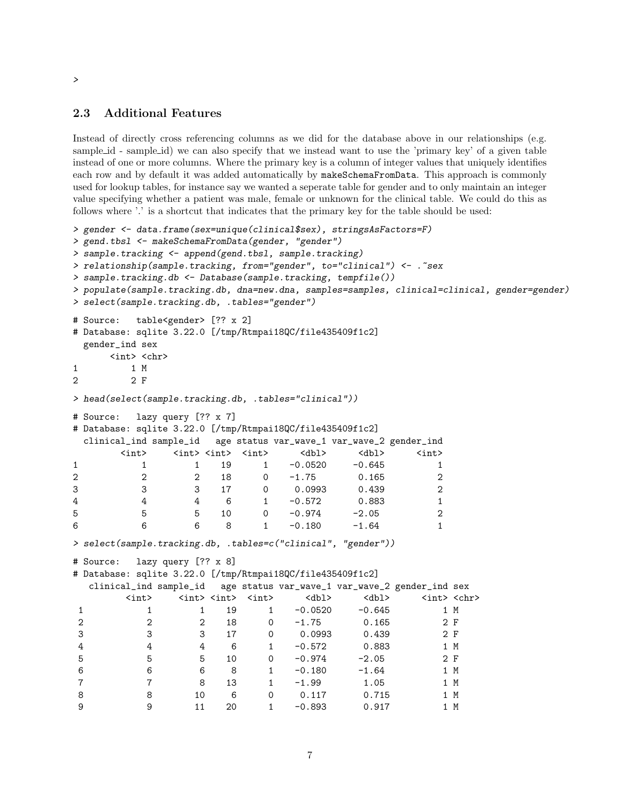### 2.3 Additional Features

Instead of directly cross referencing columns as we did for the database above in our relationships (e.g. sample id - sample id) we can also specify that we instead want to use the 'primary key' of a given table instead of one or more columns. Where the primary key is a column of integer values that uniquely identifies each row and by default it was added automatically by makeSchemaFromData. This approach is commonly used for lookup tables, for instance say we wanted a seperate table for gender and to only maintain an integer value specifying whether a patient was male, female or unknown for the clinical table. We could do this as follows where '.' is a shortcut that indicates that the primary key for the table should be used:

```
> gender <- data.frame(sex=unique(clinical$sex), stringsAsFactors=F)
> gend.tbsl <- makeSchemaFromData(gender, "gender")
> sample.tracking <- append(gend.tbsl, sample.tracking)
> relationship(sample.tracking, from="gender", to="clinical") <- .~sex
> sample.tracking.db <- Database(sample.tracking, tempfile())
> populate(sample.tracking.db, dna=new.dna, samples=samples, clinical=clinical, gender=gender)
> select(sample.tracking.db, .tables="gender")
# Source: table<gender> [?? x 2]
# Database: sqlite 3.22.0 [/tmp/Rtmpai18QC/file435409f1c2]
 gender_ind sex
     \langleint> \langlechr>
1 1 M
2 2 F
> head(select(sample.tracking.db, .tables="clinical"))
# Source: lazy query [?? x 7]
# Database: sqlite 3.22.0 [/tmp/Rtmpai18QC/file435409f1c2]
 clinical_ind sample_id age status var_wave_1 var_wave_2 gender_ind
      \langle \text{int} \rangle \langle \text{int} \rangle \langle \text{int} \rangle \langle \text{int} \rangle \langle \text{dbl} \rangle \langle \text{dbl} \rangle \langle \text{int} \rangle1 1 1 19 1 -0.0520 -0.645 1
2 2 2 18 0 -1.75 0.165 2
3 3 3 17 0 0.0993 0.439 2
4 4 4 6 1 -0.572 0.883 1
5 5 5 10 0 -0.974 -2.05 2
6 6 6 8 1 -0.180 -1.64 1
> select(sample.tracking.db, .tables=c("clinical", "gender"))
# Source: lazy query [?? x 8]
# Database: sqlite 3.22.0 [/tmp/Rtmpai18QC/file435409f1c2]
  clinical_ind sample_id age status var_wave_1 var_wave_2 gender_ind sex
       <int> <int> <int> <int> <dbl> <dbl> <int> <chr>
1 1 19 1 -0.0520 -0.645 1 M
2 2 2 18 0 -1.75 0.165 2 F
3 3 3 17 0 0.0993 0.439 2 F
4 4 4 6 1 -0.572 0.883 1 M
5 5 5 10 0 -0.974 -2.05 2 F
6 6 6 8 1 -0.180 -1.64 1 M
7 7 8 13 1 -1.99 1.05 1 M
8 8 10 6 0 0.117 0.715 1 M
9 9 11 20 1 -0.893 0.917 1 M
```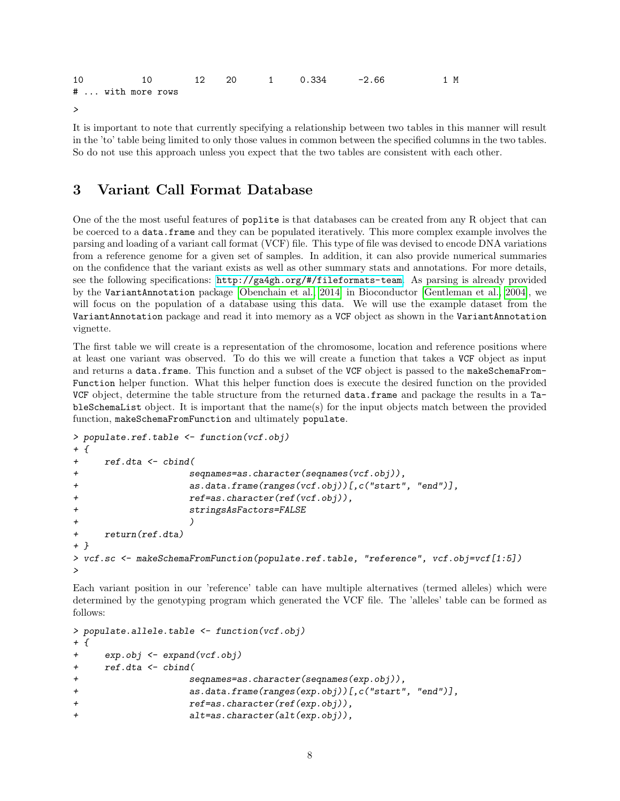| 10 |                   |  |  | $10 \hspace{1.5cm} 12 \hspace{1.5cm} 20 \hspace{1.5cm} 1 \hspace{1.5cm} 0.334 \hspace{1.5cm} -2.66$ | 1 M |
|----|-------------------|--|--|-----------------------------------------------------------------------------------------------------|-----|
|    | #  with more rows |  |  |                                                                                                     |     |
|    |                   |  |  |                                                                                                     |     |

It is important to note that currently specifying a relationship between two tables in this manner will result in the 'to' table being limited to only those values in common between the specified columns in the two tables. So do not use this approach unless you expect that the two tables are consistent with each other.

## 3 Variant Call Format Database

One of the the most useful features of poplite is that databases can be created from any R object that can be coerced to a data.frame and they can be populated iteratively. This more complex example involves the parsing and loading of a variant call format (VCF) file. This type of file was devised to encode DNA variations from a reference genome for a given set of samples. In addition, it can also provide numerical summaries on the confidence that the variant exists as well as other summary stats and annotations. For more details, see the following specifications: <http://ga4gh.org/#/fileformats-team>. As parsing is already provided by the VariantAnnotation package [\[Obenchain et al., 2014\]](#page-9-1) in Bioconductor [\[Gentleman et al., 2004\]](#page-9-2), we will focus on the population of a database using this data. We will use the example dataset from the VariantAnnotation package and read it into memory as a VCF object as shown in the VariantAnnotation vignette.

The first table we will create is a representation of the chromosome, location and reference positions where at least one variant was observed. To do this we will create a function that takes a VCF object as input and returns a data.frame. This function and a subset of the VCF object is passed to the makeSchemaFrom-Function helper function. What this helper function does is execute the desired function on the provided VCF object, determine the table structure from the returned data.frame and package the results in a TableSchemaList object. It is important that the name(s) for the input objects match between the provided function, makeSchemaFromFunction and ultimately populate.

```
> populate.ref.table <- function(vcf.obj)
+ {
+ ref.dta <- cbind(
+ seqnames=as.character(seqnames(vcf.obj)),
+ as.data.frame(ranges(vcf.obj))[,c("start", "end")],
+ ref=as.character(ref(vcf.obj)),
+ stringsAsFactors=FALSE
+ )
+ return(ref.dta)
+ }
> vcf.sc <- makeSchemaFromFunction(populate.ref.table, "reference", vcf.obj=vcf[1:5])
>
```
Each variant position in our 'reference' table can have multiple alternatives (termed alleles) which were determined by the genotyping program which generated the VCF file. The 'alleles' table can be formed as follows:

```
> populate.allele.table <- function(vcf.obj)
+ {
+ exp.obj <- expand(vcf.obj)
+ ref.dta <- cbind(
+ seqnames=as.character(seqnames(exp.obj)),
+ as.data.frame(ranges(exp.obj))[,c("start", "end")],
+ ref=as.character(ref(exp.obj)),
+ alt=as.character(alt(exp.obj)),
```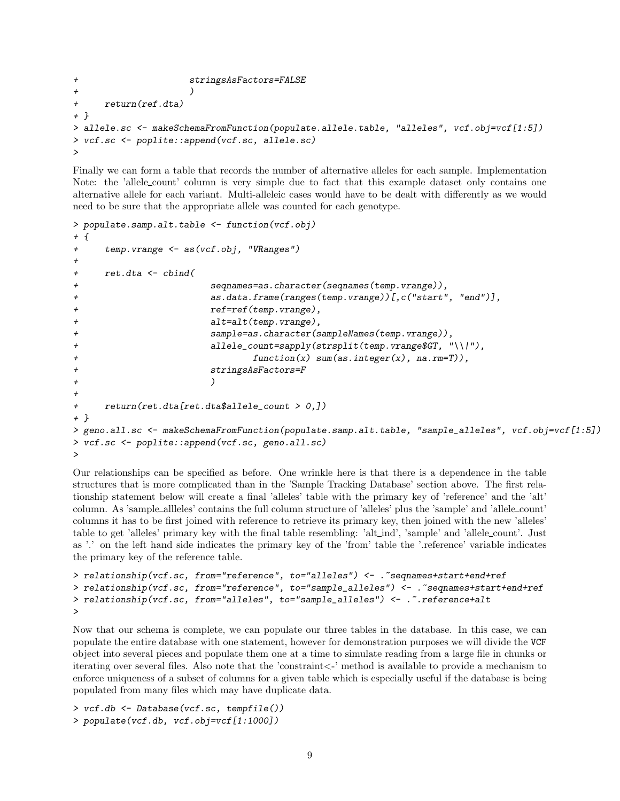```
+ stringsAsFactors=FALSE
+ )
+ return(ref.dta)
+ }
> allele.sc <- makeSchemaFromFunction(populate.allele.table, "alleles", vcf.obj=vcf[1:5])
> vcf.sc <- poplite::append(vcf.sc, allele.sc)
>
```
Finally we can form a table that records the number of alternative alleles for each sample. Implementation Note: the 'allele<sub>-count'</sub> column is very simple due to fact that this example dataset only contains one alternative allele for each variant. Multi-alleleic cases would have to be dealt with differently as we would need to be sure that the appropriate allele was counted for each genotype.

```
> populate.samp.alt.table <- function(vcf.obj)
+ {
+ temp.vrange <- as(vcf.obj, "VRanges")
+
+ ret.dta <- cbind(
+ seqnames=as.character(seqnames(temp.vrange)),
+ as.data.frame(ranges(temp.vrange))[,c("start", "end")],
+ ref=ref(temp.vrange),
+ alt=alt(temp.vrange),
+ sample=as.character(sampleNames(temp.vrange)),
+ allele_count=sapply(strsplit(temp.vrange$GT, "\\|"),
+ function(x) sum(as.integer(x), na.rm=T)),
+ stringsAsFactors=F
+ )
+
+ return(ret.dta[ret.dta$allele_count > 0,])
+ }
> geno.all.sc <- makeSchemaFromFunction(populate.samp.alt.table, "sample_alleles", vcf.obj=vcf[1:5])
> vcf.sc <- poplite::append(vcf.sc, geno.all.sc)
>
```
Our relationships can be specified as before. One wrinkle here is that there is a dependence in the table structures that is more complicated than in the 'Sample Tracking Database' section above. The first relationship statement below will create a final 'alleles' table with the primary key of 'reference' and the 'alt' column. As 'sample allleles' contains the full column structure of 'alleles' plus the 'sample' and 'allele count' columns it has to be first joined with reference to retrieve its primary key, then joined with the new 'alleles' table to get 'alleles' primary key with the final table resembling: 'alt ind', 'sample' and 'allele count'. Just as '.' on the left hand side indicates the primary key of the 'from' table the '.reference' variable indicates the primary key of the reference table.

```
> relationship(vcf.sc, from="reference", to="alleles") <- .~seqnames+start+end+ref
> relationship(vcf.sc, from="reference", to="sample_alleles") <- .~seqnames+start+end+ref
> relationship(vcf.sc, from="alleles", to="sample_alleles") <- .~.reference+alt
>
```
Now that our schema is complete, we can populate our three tables in the database. In this case, we can populate the entire database with one statement, however for demonstration purposes we will divide the VCF object into several pieces and populate them one at a time to simulate reading from a large file in chunks or iterating over several files. Also note that the 'constraint<-' method is available to provide a mechanism to enforce uniqueness of a subset of columns for a given table which is especially useful if the database is being populated from many files which may have duplicate data.

```
> vcf.db <- Database(vcf.sc, tempfile())
> populate(vcf.db, vcf.obj=vcf[1:1000])
```